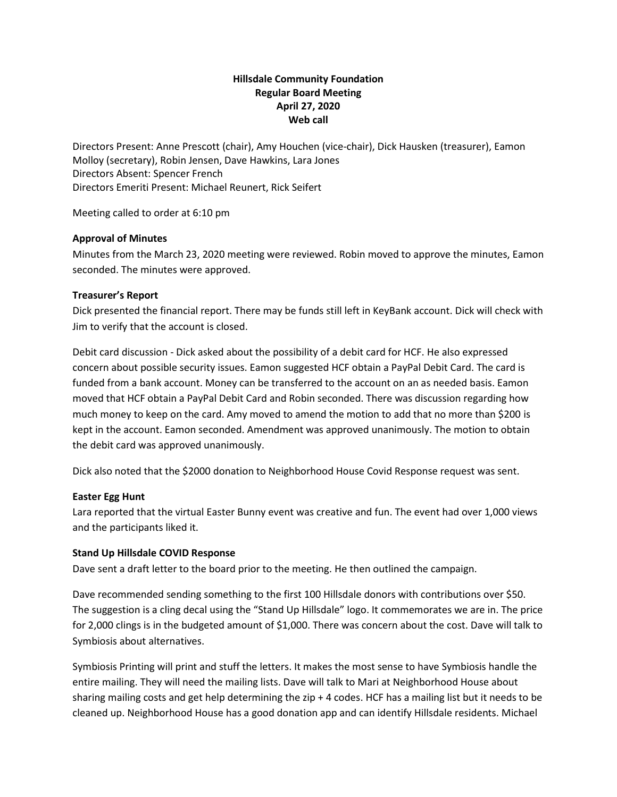# **Hillsdale Community Foundation Regular Board Meeting April 27, 2020 Web call**

Directors Present: Anne Prescott (chair), Amy Houchen (vice-chair), Dick Hausken (treasurer), Eamon Molloy (secretary), Robin Jensen, Dave Hawkins, Lara Jones Directors Absent: Spencer French Directors Emeriti Present: Michael Reunert, Rick Seifert

Meeting called to order at 6:10 pm

### **Approval of Minutes**

Minutes from the March 23, 2020 meeting were reviewed. Robin moved to approve the minutes, Eamon seconded. The minutes were approved.

### **Treasurer's Report**

Dick presented the financial report. There may be funds still left in KeyBank account. Dick will check with Jim to verify that the account is closed.

Debit card discussion - Dick asked about the possibility of a debit card for HCF. He also expressed concern about possible security issues. Eamon suggested HCF obtain a PayPal Debit Card. The card is funded from a bank account. Money can be transferred to the account on an as needed basis. Eamon moved that HCF obtain a PayPal Debit Card and Robin seconded. There was discussion regarding how much money to keep on the card. Amy moved to amend the motion to add that no more than \$200 is kept in the account. Eamon seconded. Amendment was approved unanimously. The motion to obtain the debit card was approved unanimously.

Dick also noted that the \$2000 donation to Neighborhood House Covid Response request was sent.

## **Easter Egg Hunt**

Lara reported that the virtual Easter Bunny event was creative and fun. The event had over 1,000 views and the participants liked it.

#### **Stand Up Hillsdale COVID Response**

Dave sent a draft letter to the board prior to the meeting. He then outlined the campaign.

Dave recommended sending something to the first 100 Hillsdale donors with contributions over \$50. The suggestion is a cling decal using the "Stand Up Hillsdale" logo. It commemorates we are in. The price for 2,000 clings is in the budgeted amount of \$1,000. There was concern about the cost. Dave will talk to Symbiosis about alternatives.

Symbiosis Printing will print and stuff the letters. It makes the most sense to have Symbiosis handle the entire mailing. They will need the mailing lists. Dave will talk to Mari at Neighborhood House about sharing mailing costs and get help determining the zip + 4 codes. HCF has a mailing list but it needs to be cleaned up. Neighborhood House has a good donation app and can identify Hillsdale residents. Michael